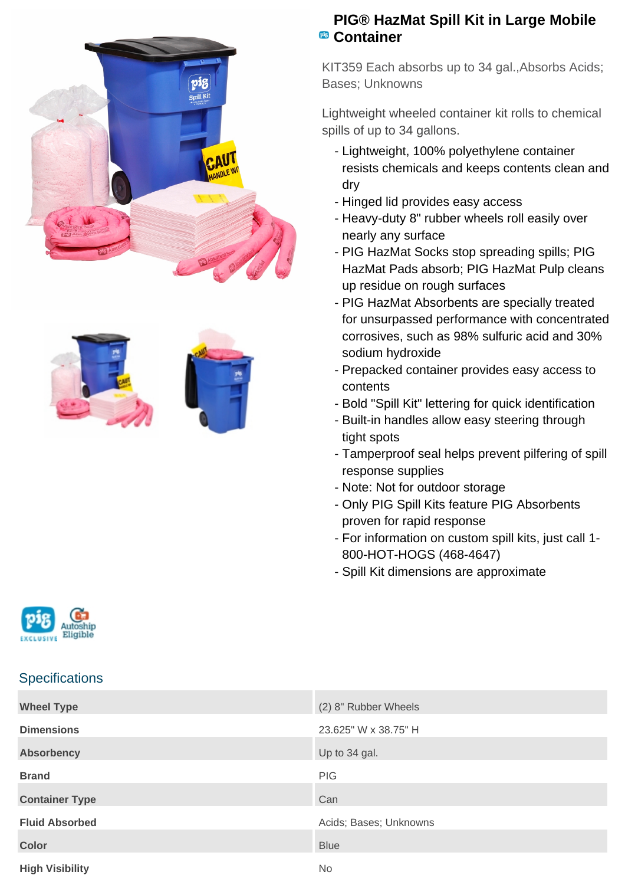





## **PIG® HazMat Spill Kit in Large Mobile PB** Container

KIT359 Each absorbs up to 34 gal.,Absorbs Acids; Bases; Unknowns

Lightweight wheeled container kit rolls to chemical spills of up to 34 gallons.

- Lightweight, 100% polyethylene container resists chemicals and keeps contents clean and dry
- Hinged lid provides easy access
- Heavy-duty 8" rubber wheels roll easily over nearly any surface
- PIG HazMat Socks stop spreading spills; PIG HazMat Pads absorb; PIG HazMat Pulp cleans up residue on rough surfaces
- PIG HazMat Absorbents are specially treated for unsurpassed performance with concentrated corrosives, such as 98% sulfuric acid and 30% sodium hydroxide
- Prepacked container provides easy access to contents
- Bold "Spill Kit" lettering for quick identification
- Built-in handles allow easy steering through tight spots
- Tamperproof seal helps prevent pilfering of spill response supplies
- Note: Not for outdoor storage
- Only PIG Spill Kits feature PIG Absorbents proven for rapid response
- For information on custom spill kits, just call 1-800-HOT-HOGS (468-4647)
- Spill Kit dimensions are approximate



## **Specifications**

| <b>Wheel Type</b>      | (2) 8" Rubber Wheels   |
|------------------------|------------------------|
| <b>Dimensions</b>      | 23.625" W x 38.75" H   |
| <b>Absorbency</b>      | Up to 34 gal.          |
| <b>Brand</b>           | <b>PIG</b>             |
| <b>Container Type</b>  | Can                    |
| <b>Fluid Absorbed</b>  | Acids; Bases; Unknowns |
| <b>Color</b>           | <b>Blue</b>            |
| <b>High Visibility</b> | No.                    |